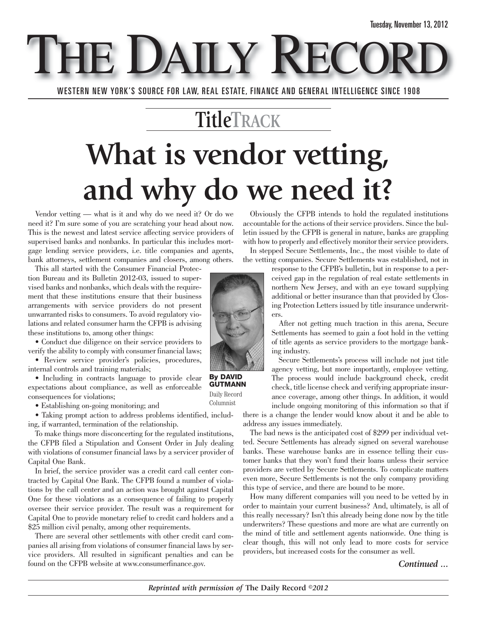E DAILY REC

WESTERN NEW YORK'S SOURCE FOR LAW, REAL ESTATE, FINANCE AND GENERAL INTELLIGENCE SINCE 1908

### **TitleTRACK**

# **What is vendor vetting, and why do we need it?**

Vendor vetting — what is it and why do we need it? Or do we need it? I'm sure some of you are scratching your head about now. This is the newest and latest service affecting service providers of supervised banks and nonbanks. In particular this includes mortgage lending service providers, i.e. title companies and agents, bank attorneys, settlement companies and closers, among others.

This all started with the Consumer Financial Protection Bureau and its Bulletin 2012-03, issued to supervised banks and nonbanks, which deals with the requirement that these institutions ensure that their business arrangements with service providers do not present unwarranted risks to consumers. To avoid regulatory violations and related consumer harm the CFPB is advising these institutions to, among other things:

• Conduct due diligence on their service providers to verify the ability to comply with consumer financial laws;

• Review service provider's policies, procedures, internal controls and training materials;

• Including in contracts language to provide clear expectations about compliance, as well as enforceable consequences for violations;

• Establishing on-going monitoring; and

• Taking prompt action to address problems identified, including, if warranted, termination of the relationship.

To make things more disconcerting for the regulated institutions, the CFPB filed a Stipulation and Consent Order in July dealing with violations of consumer financial laws by a servicer provider of Capital One Bank.

In brief, the service provider was a credit card call center contracted by Capital One Bank. The CFPB found a number of violations by the call center and an action was brought against Capital One for these violations as a consequence of failing to properly oversee their service provider. The result was a requirement for Capital One to provide monetary relief to credit card holders and a \$25 million civil penalty, among other requirements.

There are several other settlements with other credit card companies all arising from violations of consumer financial laws by service providers. All resulted in significant penalties and can be found on the CFPB website at www.consumerfinance.gov.

Obviously the CFPB intends to hold the regulated institutions accountable for the actions of their service providers. Since the bulletin issued by the CFPB is general in nature, banks are grappling with how to properly and effectively monitor their service providers.

In stepped Secure Settlements, Inc., the most visible to date of the vetting companies. Secure Settlements was established, not in

> response to the CFPB's bulletin, but in response to a perceived gap in the regulation of real estate settlements in northern New Jersey, and with an eye toward supplying additional or better insurance than that provided by Closing Protection Letters issued by title insurance underwriters.

> After not getting much traction in this arena, Secure Settlements has seemed to gain a foot hold in the vetting of title agents as service providers to the mortgage banking industry.

Secure Settlements's process will include not just title agency vetting, but more importantly, employee vetting. The process would include background check, credit check, title license check and verifying appropriate insurance coverage, among other things. In addition, it would include ongoing monitoring of this information so that if there is a change the lender would know about it and be able to

address any issues immediately.

The bad news is the anticipated cost of \$299 per individual vetted. Secure Settlements has already signed on several warehouse banks. These warehouse banks are in essence telling their customer banks that they won't fund their loans unless their service providers are vetted by Secure Settlements. To complicate matters even more, Secure Settlements is not the only company providing this type of service, and there are bound to be more.

How many different companies will you need to be vetted by in order to maintain your current business? And, ultimately, is all of this really necessary? Isn't this already being done now by the title underwriters? These questions and more are what are currently on the mind of title and settlement agents nationwide. One thing is clear though, this will not only lead to more costs for service providers, but increased costs for the consumer as well.

#### *Continued ...*



Daily Record Columnist

*Reprinted with permission of* **The Daily Record** *©2012*